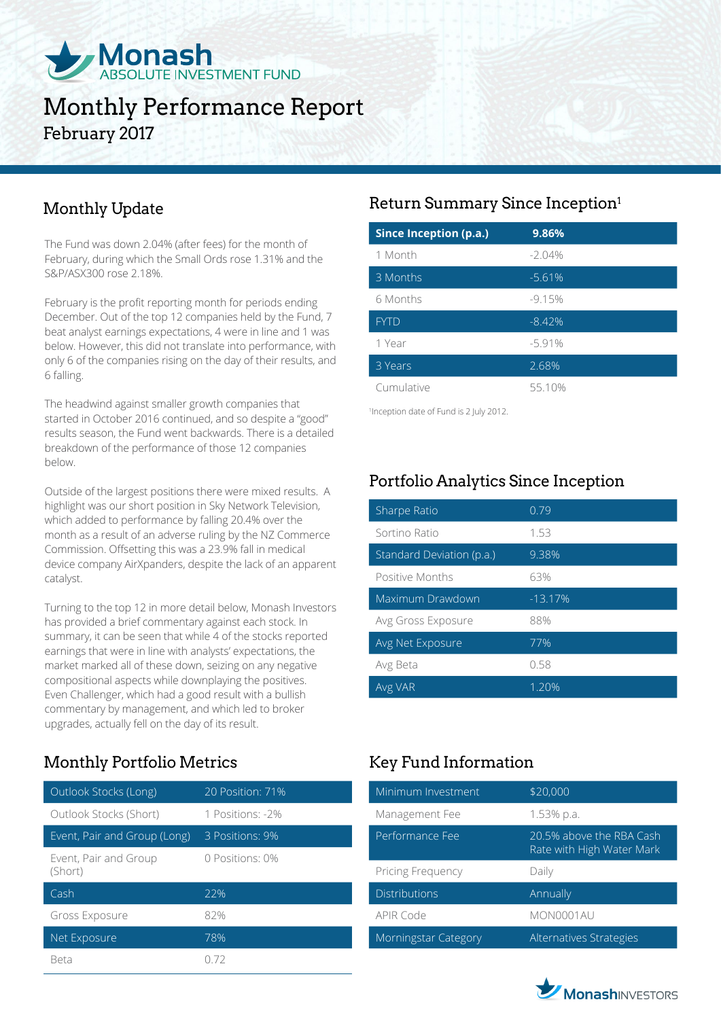

# Monthly Performance Report February 2017

# Monthly Update

The Fund was down 2.04% (after fees) for the month of February, during which the Small Ords rose 1.31% and the S&P/ASX300 rose 2.18%.

February is the profit reporting month for periods ending December. Out of the top 12 companies held by the Fund, 7 beat analyst earnings expectations, 4 were in line and 1 was below. However, this did not translate into performance, with only 6 of the companies rising on the day of their results, and 6 falling.

The headwind against smaller growth companies that started in October 2016 continued, and so despite a "good" results season, the Fund went backwards. There is a detailed breakdown of the performance of those 12 companies below.

Outside of the largest positions there were mixed results. A highlight was our short position in Sky Network Television, which added to performance by falling 20.4% over the month as a result of an adverse ruling by the NZ Commerce Commission. Offsetting this was a 23.9% fall in medical device company AirXpanders, despite the lack of an apparent catalyst.

Turning to the top 12 in more detail below, Monash Investors has provided a brief commentary against each stock. In summary, it can be seen that while 4 of the stocks reported earnings that were in line with analysts' expectations, the market marked all of these down, seizing on any negative compositional aspects while downplaying the positives. Even Challenger, which had a good result with a bullish commentary by management, and which led to broker upgrades, actually fell on the day of its result.

# Monthly Portfolio Metrics Key Fund Information

| Outlook Stocks (Long)            | 20 Position: 71% |
|----------------------------------|------------------|
| Outlook Stocks (Short)           | 1 Positions: -2% |
| Event, Pair and Group (Long)     | 3 Positions: 9%  |
| Event, Pair and Group<br>(Short) | 0 Positions: 0%  |
|                                  |                  |
| Cash                             | 22%              |
| Gross Exposure                   | 82%              |
| Net Exposure                     | 78%              |

## Return Summary Since Inception1

| <b>Since Inception (p.a.)</b> | 9.86%    |  |
|-------------------------------|----------|--|
| 1 Month                       | $-2.04%$ |  |
| 3 Months                      | $-5.61%$ |  |
| 6 Months                      | $-9.15%$ |  |
| <b>FYTD</b>                   | $-8.42%$ |  |
| 1 Year                        | $-5.91%$ |  |
| 3 Years                       | 2.68%    |  |
| Cumulative                    | 55 10%   |  |

1 Inception date of Fund is 2 July 2012.

# Portfolio Analytics Since Inception

| Sharpe Ratio              | 0.79      |
|---------------------------|-----------|
| Sortino Ratio             | 1.53      |
| Standard Deviation (p.a.) | 9.38%     |
| Positive Months           | 63%       |
| Maximum Drawdown          | $-13.17%$ |
| Avg Gross Exposure        | 88%       |
| Avg Net Exposure          | 77%       |
| Avg Beta                  | 0.58      |
| Avg VAR                   | 1.20%     |

| Minimum Investment   | \$20,000                                              |
|----------------------|-------------------------------------------------------|
| Management Fee       | 1.53% p.a.                                            |
| Performance Fee      | 20.5% above the RBA Cash<br>Rate with High Water Mark |
| Pricing Frequency    | Daily                                                 |
| <b>Distributions</b> | Annually                                              |
| APIR Code            | MON0001AU                                             |
| Morningstar Category | Alternatives Strategies                               |

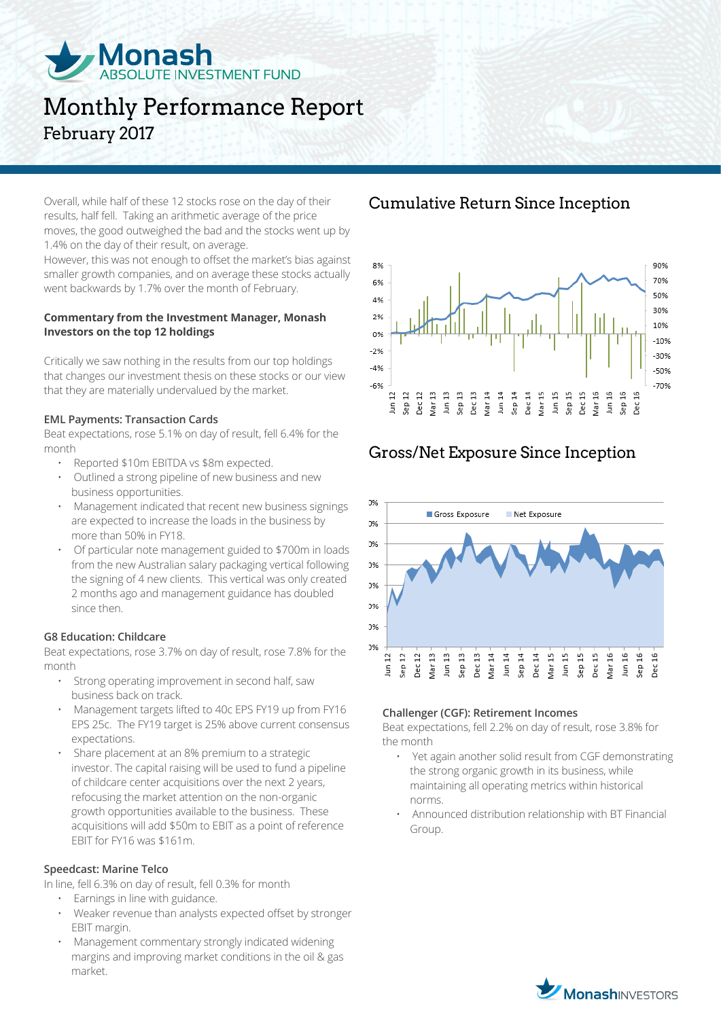

# Monthly Performance Report February 2017

Overall, while half of these 12 stocks rose on the day of their results, half fell. Taking an arithmetic average of the price moves, the good outweighed the bad and the stocks went up by 1.4% on the day of their result, on average.

However, this was not enough to offset the market's bias against smaller growth companies, and on average these stocks actually went backwards by 1.7% over the month of February.

#### **Commentary from the Investment Manager, Monash Investors on the top 12 holdings**

Critically we saw nothing in the results from our top holdings that changes our investment thesis on these stocks or our view that they are materially undervalued by the market.

#### **EML Payments: Transaction Cards**

Beat expectations, rose 5.1% on day of result, fell 6.4% for the month

- Reported \$10m EBITDA vs \$8m expected.
- Outlined a strong pipeline of new business and new business opportunities.
- Management indicated that recent new business signings are expected to increase the loads in the business by more than 50% in FY18.
- Of particular note management guided to \$700m in loads from the new Australian salary packaging vertical following the signing of 4 new clients. This vertical was only created 2 months ago and management guidance has doubled since then.

### **G8 Education: Childcare**

Beat expectations, rose 3.7% on day of result, rose 7.8% for the month

- Strong operating improvement in second half, saw business back on track.
- Management targets lifted to 40c EPS FY19 up from FY16 EPS 25c. The FY19 target is 25% above current consensus expectations.
- Share placement at an 8% premium to a strategic investor. The capital raising will be used to fund a pipeline of childcare center acquisitions over the next 2 years, refocusing the market attention on the non-organic growth opportunities available to the business. These acquisitions will add \$50m to EBIT as a point of reference EBIT for FY16 was \$161m.

#### **Speedcast: Marine Telco**

In line, fell 6.3% on day of result, fell 0.3% for month

- Earnings in line with guidance.
- Weaker revenue than analysts expected offset by stronger EBIT margin.
- Management commentary strongly indicated widening margins and improving market conditions in the oil & gas market.

### Cumulative Return Since Inception



### Gross/Net Exposure Since Inception



#### **Challenger (CGF): Retirement Incomes**

Beat expectations, fell 2.2% on day of result, rose 3.8% for the month

- Yet again another solid result from CGF demonstrating the strong organic growth in its business, while maintaining all operating metrics within historical norms.
- Announced distribution relationship with BT Financial Group.